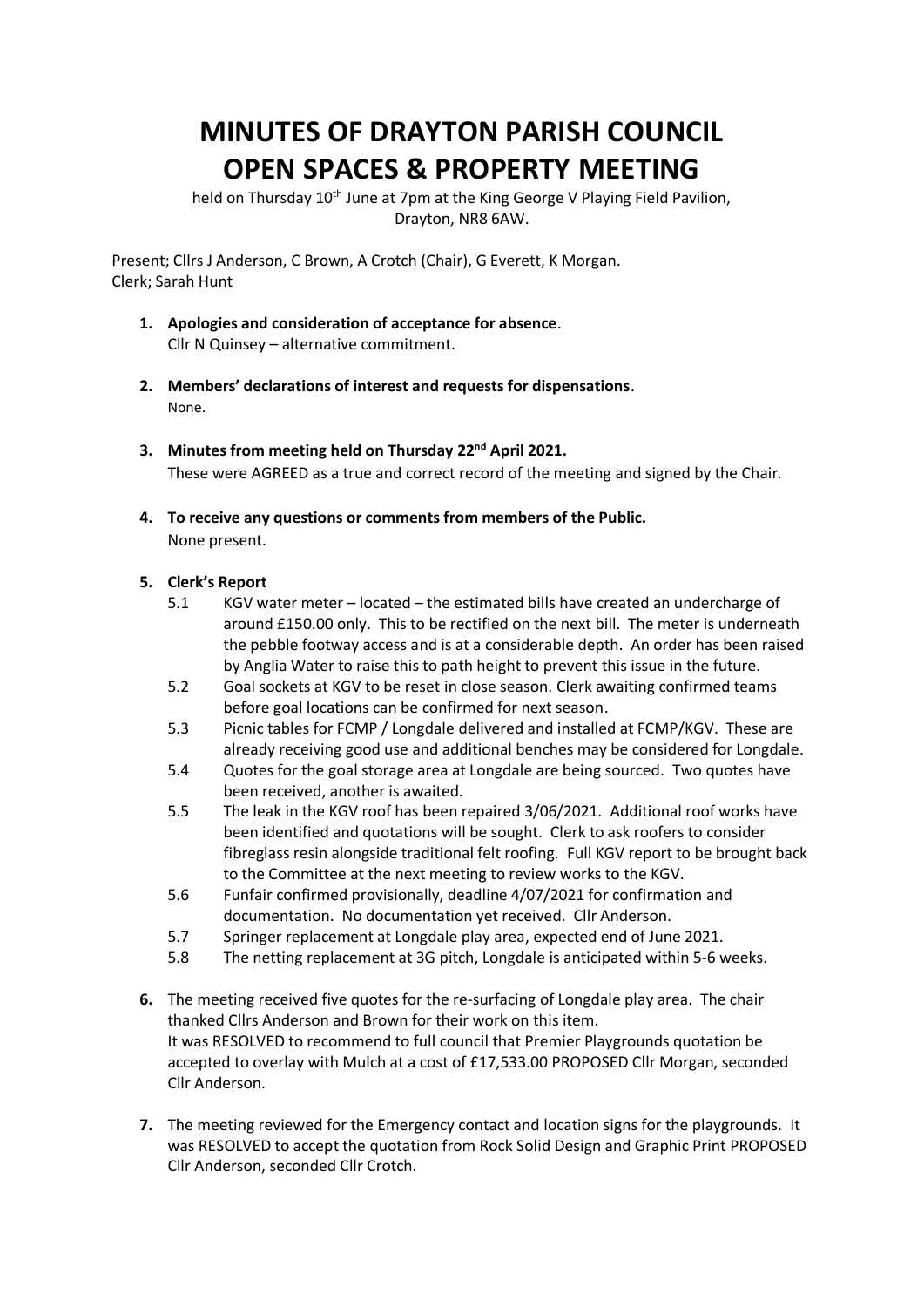## **MINUTES OF DRAYTON PARISH COUNCIL OPEN SPACES & PROPERTY MEETING**

held on Thursday 10<sup>th</sup> June at 7pm at the King George V Playing Field Pavilion, Drayton, NR8 6AW.

Present; Cllrs J Anderson, C Brown, A Crotch (Chair), G Everett, K Morgan. Clerk; Sarah Hunt

- **1. Apologies and consideration of acceptance for absence**. Cllr N Quinsey – alternative commitment.
- **2. Members' declarations of interest and requests for dispensations**. None.
- **3. Minutes from meeting held on Thursday 22nd April 2021.** These were AGREED as a true and correct record of the meeting and signed by the Chair.
- **4. To receive any questions or comments from members of the Public.** None present.

## **5. Clerk's Report**

- 5.1 KGV water meter located the estimated bills have created an undercharge of around £150.00 only. This to be rectified on the next bill. The meter is underneath the pebble footway access and is at a considerable depth. An order has been raised by Anglia Water to raise this to path height to prevent this issue in the future.
- 5.2 Goal sockets at KGV to be reset in close season. Clerk awaiting confirmed teams before goal locations can be confirmed for next season.
- 5.3 Picnic tables for FCMP / Longdale delivered and installed at FCMP/KGV. These are already receiving good use and additional benches may be considered for Longdale.
- 5.4 Quotes for the goal storage area at Longdale are being sourced. Two quotes have been received, another is awaited.
- 5.5 The leak in the KGV roof has been repaired 3/06/2021. Additional roof works have been identified and quotations will be sought. Clerk to ask roofers to consider fibreglass resin alongside traditional felt roofing. Full KGV report to be brought back to the Committee at the next meeting to review works to the KGV.
- 5.6 Funfair confirmed provisionally, deadline 4/07/2021 for confirmation and documentation. No documentation yet received. Cllr Anderson.
- 5.7 Springer replacement at Longdale play area, expected end of June 2021.
- 5.8 The netting replacement at 3G pitch, Longdale is anticipated within 5-6 weeks.
- **6.** The meeting received five quotes for the re-surfacing of Longdale play area. The chair thanked Cllrs Anderson and Brown for their work on this item. It was RESOLVED to recommend to full council that Premier Playgrounds quotation be accepted to overlay with Mulch at a cost of £17,533.00 PROPOSED Cllr Morgan, seconded Cllr Anderson.
- **7.** The meeting reviewed for the Emergency contact and location signs for the playgrounds. It was RESOLVED to accept the quotation from Rock Solid Design and Graphic Print PROPOSED Cllr Anderson, seconded Cllr Crotch.